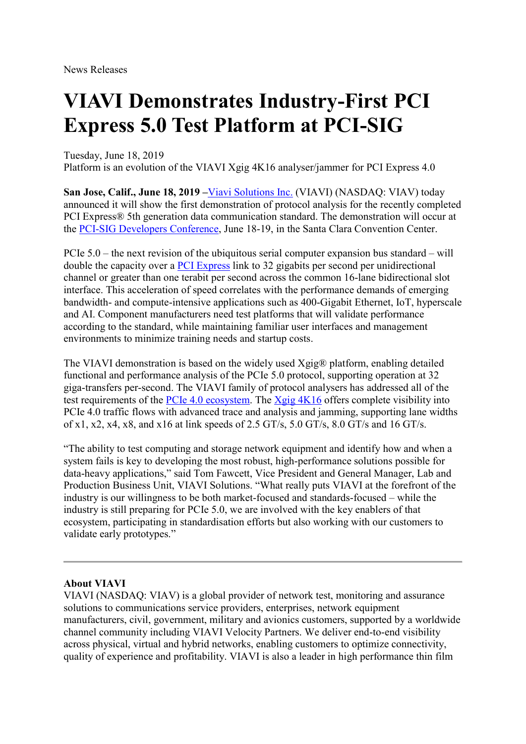News Releases

## VIAVI Demonstrates Industry-First PCI Express 5.0 Test Platform at PCI-SIG

Tuesday, June 18, 2019

Platform is an evolution of the VIAVI Xgig 4K16 analyser/jammer for PCI Express 4.0

San Jose, Calif., June 18, 2019 –Viavi Solutions Inc. (VIAVI) (NASDAQ: VIAV) today announced it will show the first demonstration of protocol analysis for the recently completed PCI Express® 5th generation data communication standard. The demonstration will occur at the PCI-SIG Developers Conference, June 18-19, in the Santa Clara Convention Center.

PCIe 5.0 – the next revision of the ubiquitous serial computer expansion bus standard – will double the capacity over a PCI Express link to 32 gigabits per second per unidirectional channel or greater than one terabit per second across the common 16-lane bidirectional slot interface. This acceleration of speed correlates with the performance demands of emerging bandwidth- and compute-intensive applications such as 400-Gigabit Ethernet, IoT, hyperscale and AI. Component manufacturers need test platforms that will validate performance according to the standard, while maintaining familiar user interfaces and management environments to minimize training needs and startup costs.

The VIAVI demonstration is based on the widely used Xgig® platform, enabling detailed functional and performance analysis of the PCIe 5.0 protocol, supporting operation at 32 giga-transfers per-second. The VIAVI family of protocol analysers has addressed all of the test requirements of the PCIe 4.0 ecosystem. The Xgig 4K16 offers complete visibility into PCIe 4.0 traffic flows with advanced trace and analysis and jamming, supporting lane widths of x1, x2, x4, x8, and x16 at link speeds of 2.5 GT/s, 5.0 GT/s, 8.0 GT/s and 16 GT/s.

"The ability to test computing and storage network equipment and identify how and when a system fails is key to developing the most robust, high-performance solutions possible for data-heavy applications," said Tom Fawcett, Vice President and General Manager, Lab and Production Business Unit, VIAVI Solutions. "What really puts VIAVI at the forefront of the industry is our willingness to be both market-focused and standards-focused – while the industry is still preparing for PCIe 5.0, we are involved with the key enablers of that ecosystem, participating in standardisation efforts but also working with our customers to validate early prototypes."

## About VIAVI

VIAVI (NASDAQ: VIAV) is a global provider of network test, monitoring and assurance solutions to communications service providers, enterprises, network equipment manufacturers, civil, government, military and avionics customers, supported by a worldwide channel community including VIAVI Velocity Partners. We deliver end-to-end visibility across physical, virtual and hybrid networks, enabling customers to optimize connectivity, quality of experience and profitability. VIAVI is also a leader in high performance thin film